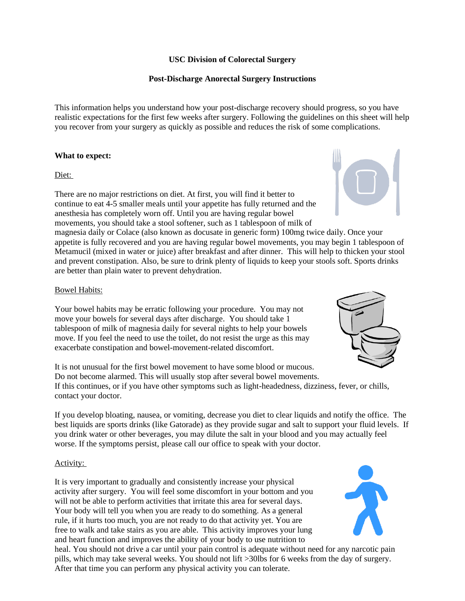# **USC Division of Colorectal Surgery**

# **Post-Discharge Anorectal Surgery Instructions**

This information helps you understand how your post-discharge recovery should progress, so you have realistic expectations for the first few weeks after surgery. Following the guidelines on this sheet will help you recover from your surgery as quickly as possible and reduces the risk of some complications.

# **What to expect:**

# Diet:

There are no major restrictions on diet. At first, you will find it better to continue to eat 4-5 smaller meals until your appetite has fully returned and the anesthesia has completely worn off. Until you are having regular bowel movements, you should take a stool softener, such as 1 tablespoon of milk of

magnesia daily or Colace (also known as docusate in generic form) 100mg twice daily. Once your appetite is fully recovered and you are having regular bowel movements, you may begin 1 tablespoon of Metamucil (mixed in water or juice) after breakfast and after dinner. This will help to thicken your stool and prevent constipation. Also, be sure to drink plenty of liquids to keep your stools soft. Sports drinks are better than plain water to prevent dehydration.

# Bowel Habits:

Your bowel habits may be erratic following your procedure. You may not move your bowels for several days after discharge. You should take 1 tablespoon of milk of magnesia daily for several nights to help your bowels move. If you feel the need to use the toilet, do not resist the urge as this may exacerbate constipation and bowel-movement-related discomfort.

It is not unusual for the first bowel movement to have some blood or mucous. Do not become alarmed. This will usually stop after several bowel movements. If this continues, or if you have other symptoms such as light-headedness, dizziness, fever, or chills, contact your doctor.

If you develop bloating, nausea, or vomiting, decrease you diet to clear liquids and notify the office. The best liquids are sports drinks (like Gatorade) as they provide sugar and salt to support your fluid levels. If you drink water or other beverages, you may dilute the salt in your blood and you may actually feel worse. If the symptoms persist, please call our office to speak with your doctor.

# Activity:

It is very important to gradually and consistently increase your physical activity after surgery. You will feel some discomfort in your bottom and you will not be able to perform activities that irritate this area for several days. Your body will tell you when you are ready to do something. As a general rule, if it hurts too much, you are not ready to do that activity yet. You are free to walk and take stairs as you are able. This activity improves your lung and heart function and improves the ability of your body to use nutrition to

heal. You should not drive a car until your pain control is adequate without need for any narcotic pain pills, which may take several weeks. You should not lift >30lbs for 6 weeks from the day of surgery. After that time you can perform any physical activity you can tolerate.





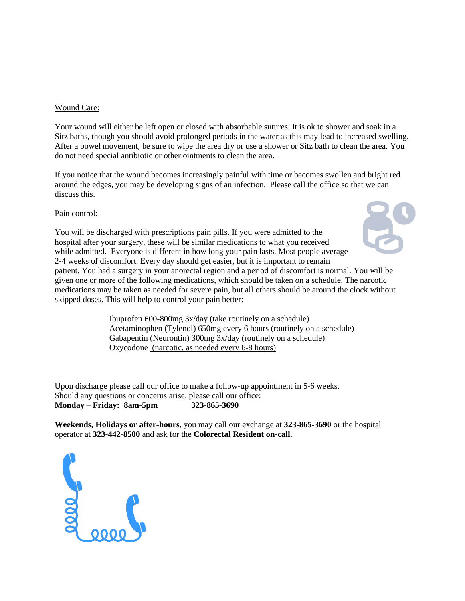#### Wound Care:

Your wound will either be left open or closed with absorbable sutures. It is ok to shower and soak in a Sitz baths, though you should avoid prolonged periods in the water as this may lead to increased swelling. After a bowel movement, be sure to wipe the area dry or use a shower or Sitz bath to clean the area. You do not need special antibiotic or other ointments to clean the area.

If you notice that the wound becomes increasingly painful with time or becomes swollen and bright red around the edges, you may be developing signs of an infection. Please call the office so that we can discuss this.

# Pain control:

You will be discharged with prescriptions pain pills. If you were admitted to the hospital after your surgery, these will be similar medications to what you received while admitted. Everyone is different in how long your pain lasts. Most people average 2-4 weeks of discomfort. Every day should get easier, but it is important to remain patient. You had a surgery in your anorectal region and a period of discomfort is normal. You will be given one or more of the following medications, which should be taken on a schedule. The narcotic medications may be taken as needed for severe pain, but all others should be around the clock without skipped doses. This will help to control your pain better:

> Ibuprofen 600-800mg 3x/day (take routinely on a schedule) Acetaminophen (Tylenol) 650mg every 6 hours (routinely on a schedule) Gabapentin (Neurontin) 300mg 3x/day (routinely on a schedule) Oxycodone (narcotic, as needed every 6-8 hours)

Upon discharge please call our office to make a follow-up appointment in 5-6 weeks. Should any questions or concerns arise, please call our office: **Monday – Friday: 8am-5pm 323-865-3690**

**Weekends, Holidays or after-hours**, you may call our exchange at **323-865-3690** or the hospital operator at **323-442-8500** and ask for the **Colorectal Resident on-call.**